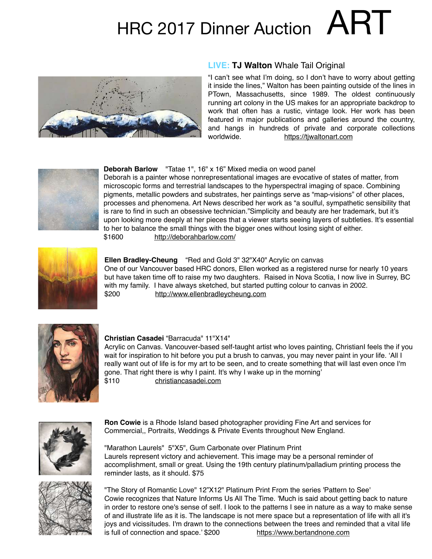# HRC 2017 Dinner Auction  $ART$



# **LIVE: TJ Walton** Whale Tail Original

"I can't see what I'm doing, so I don't have to worry about getting it inside the lines," Walton has been painting outside of the lines in PTown, Massachusetts, since 1989. The oldest continuously running art colony in the US makes for an appropriate backdrop to work that often has a rustic, vintage look. Her work has been featured in major publications and galleries around the country, and hangs in hundreds of private and corporate collections worldwide. <https://tjwaltonart.com>



# **Deborah Barlow** "Tatae 1", 16" x 16" Mixed media on wood panel

Deborah is a painter whose nonrepresentational images are evocative of states of matter, from microscopic forms and terrestrial landscapes to the hyperspectral imaging of space. Combining pigments, metallic powders and substrates, her paintings serve as "map-visions" of other places, processes and phenomena. Art News described her work as "a soulful, sympathetic sensibility that is rare to find in such an obsessive technician."Simplicity and beauty are her trademark, but it's upon looking more deeply at her pieces that a viewer starts seeing layers of subtleties. It's essential to her to balance the small things with the bigger ones without losing sight of either. \$1600 <http://deborahbarlow.com/>



#### **Ellen Bradley-Cheung** "Red and Gold 3" 32"X40" Acrylic on canvas

One of our Vancouver based HRC donors, Ellen worked as a registered nurse for nearly 10 years but have taken time off to raise my two daughters. Raised in Nova Scotia, I now live in Surrey, BC with my family. I have always sketched, but started putting colour to canvas in 2002. \$200 <http://www.ellenbradleycheung.com>



# **Christian Casadei** "Barracuda" 11"X14"

Acrylic on Canvas. Vancouver-based self-taught artist who loves painting, ChristianI feels the if you wait for inspiration to hit before you put a brush to canvas, you may never paint in your life. 'All I really want out of life is for my art to be seen, and to create something that will last even once I'm gone. That right there is why I paint. It's why I wake up in the morning' \$110 [christiancasadei.com](http://christiancasadei.com)



**Ron Cowie** is a Rhode Island based photographer providing Fine Art and services for Commercial,, Portraits, Weddings & Private Events throughout New England.

"Marathon Laurels" 5"X5", Gum Carbonate over Platinum Print Laurels represent victory and achievement. This image may be a personal reminder of accomplishment, small or great. Using the 19th century platinum/palladium printing process the reminder lasts, as it should. \$75



"The Story of Romantic Love" 12"X12" Platinum Print From the series 'Pattern to See' Cowie recognizes that Nature Informs Us All The Time. 'Much is said about getting back to nature in order to restore one's sense of self. I look to the patterns I see in nature as a way to make sense of and illustrate life as it is. The landscape is not mere space but a representation of life with all it's joys and vicissitudes. I'm drawn to the connections between the trees and reminded that a vital life is full of connection and space.' \$200 <https://www.bertandnone.com>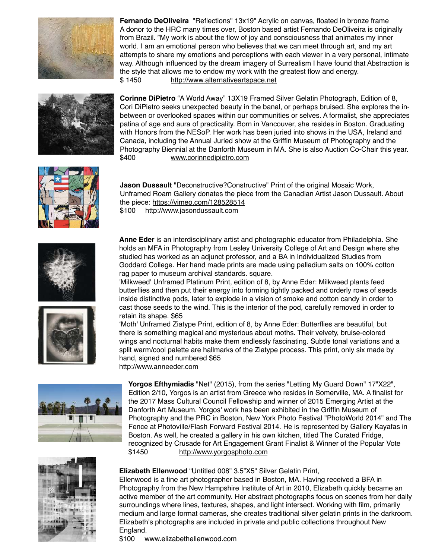

**Fernando DeOliveira** "Reflections" 13x19" Acrylic on canvas, floated in bronze frame A donor to the HRC many times over, Boston based artist Fernando DeOliveira is originally from Brazil. "My work is about the flow of joy and consciousness that animates my inner world. I am an emotional person who believes that we can meet through art, and my art attempts to share my emotions and perceptions with each viewer in a very personal, intimate way. Although influenced by the dream imagery of Surrealism I have found that Abstraction is the style that allows me to endow my work with the greatest flow and energy. \$ 1450 <http://www.alternativeartspace.net>



**Corinne DiPietro** "A World Away" 13X19 Framed Silver Gelatin Photograph, Edition of 8, Cori DiPietro seeks unexpected beauty in the banal, or perhaps bruised. She explores the inbetween or overlooked spaces within our communities or selves. A formalist, she appreciates patina of age and aura of practicality. Born in Vancouver, she resides in Boston. Graduating with Honors from the NESoP. Her work has been juried into shows in the USA, Ireland and Canada, including the Annual Juried show at the Griffin Museum of Photography and the Photography Biennial at the Danforth Museum in MA. She is also Auction Co-Chair this year. \$400 [www.corinnedipietro.com](http://www.corinnedipietro.com)



**Jason Dussault** "Deconstructive?Constructive" Print of the original Mosaic Work, Unframed Roam Gallery donates the piece from the Canadian Artist Jason Dussault. About the piece:<https://vimeo.com/128528514> \$100 <http://www.jasondussault.com>



**Anne Eder** is an interdisciplinary artist and photographic educator from Philadelphia. She holds an MFA in Photography from Lesley University College of Art and Design where she studied has worked as an adjunct professor, and a BA in Individualized Studies from Goddard College. Her hand made prints are made using palladium salts on 100% cotton rag paper to museum archival standards. square.

'Milkweed' Unframed Platinum Print, edition of 8, by Anne Eder: Milkweed plants feed butterflies and then put their energy into forming tightly packed and orderly rows of seeds inside distinctive pods, later to explode in a vision of smoke and cotton candy in order to cast those seeds to the wind. This is the interior of the pod, carefully removed in order to retain its shape. \$65

'Moth' Unframed Ziatype Print, edition of 8, by Anne Eder: Butterflies are beautiful, but there is something magical and mysterious about moths. Their velvety, bruise-colored wings and nocturnal habits make them endlessly fascinating. Subtle tonal variations and a split warm/cool palette are hallmarks of the Ziatype process. This print, only six made by hand, signed and numbered \$65 http://www.anneeder.com



**Yorgos Efthymiadis** "Net" (2015), from the series "Letting My Guard Down" 17"X22", Edition 2/10, Yorgos is an artist from Greece who resides in Somerville, MA. A finalist for the 2017 Mass Cultural Council Fellowship and winner of 2015 Emerging Artist at the Danforth Art Museum. Yorgos' work has been exhibited in the Griffin Museum of Photography and the PRC in Boston, New York Photo Festival "PhotoWorld 2014" and The Fence at Photoville/Flash Forward Festival 2014. He is represented by Gallery Kayafas in Boston. As well, he created a gallery in his own kitchen, titled The Curated Fridge, recognized by Crusade for Art Engagement Grant Finalist & Winner of the Popular Vote \$1450 <http://www.yorgosphoto.com>



# **Elizabeth Ellenwood** "Untitled 008" 3.5"X5" Silver Gelatin Print,

Ellenwood is a fine art photographer based in Boston, MA. Having received a BFA in Photography from the New Hampshire Institute of Art in 2010, Elizabeth quickly became an active member of the art community. Her abstract photographs focus on scenes from her daily surroundings where lines, textures, shapes, and light intersect. Working with film, primarily medium and large format cameras, she creates traditional silver gelatin prints in the darkroom. Elizabeth's photographs are included in private and public collections throughout New England.

\$100 [www.elizabethellenwood.com](http://www.elizabethellenwood.com)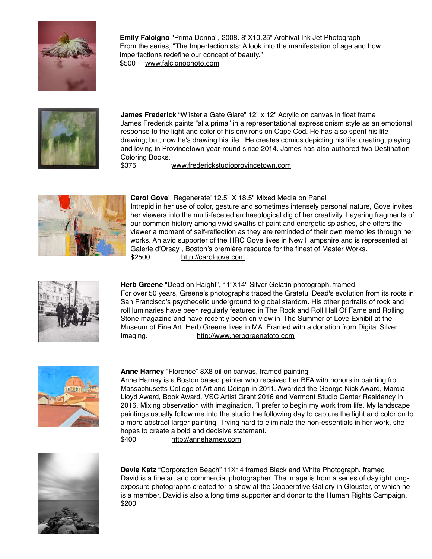

**Emily Falcigno** "Prima Donna", 2008. 8"X10.25" Archival Ink Jet Photograph From the series, "The Imperfectionists: A look into the manifestation of age and how imperfections redefine our concept of beauty." \$500 [www.falcignophoto.com](http://www.falcignophoto.com)



**James Frederick** "W'isteria Gate Glare" 12" x 12" Acrylic on canvas in float frame James Frederick paints "alla prima" in a representational expressionism style as an emotional response to the light and color of his environs on Cape Cod. He has also spent his life drawing; but, now he's drawing his life. He creates comics depicting his life: creating, playing and loving in Provincetown year-round since 2014. James has also authored two Destination Coloring Books.

\$375 [www.frederickstudioprovincetown.com](http://www.frederickstudioprovincetown.com)



# **Carol Gove**' Regenerate' 12.5" X 18.5" Mixed Media on Panel

Intrepid in her use of color, gesture and sometimes intensely personal nature, Gove invites her viewers into the multi-faceted archaeological dig of her creativity. Layering fragments of our common history among vivid swaths of paint and energetic splashes, she offers the viewer a moment of self-reflection as they are reminded of their own memories through her works. An avid supporter of the HRC Gove lives in New Hampshire and is represented at Galerie d'Orsay , Boston's première resource for the finest of Master Works. \$2500 <http://carolgove.com>



**Herb Greene** "Dead on Haight", 11"X14" Silver Gelatin photograph, framed For over 50 years, Greene's photographs traced the Grateful Dead's evolution from its roots in San Francisco's psychedelic underground to global stardom. His other portraits of rock and roll luminaries have been regularly featured in The Rock and Roll Hall Of Fame and Rolling Stone magazine and have recently been on view in 'The Summer of Love Exhibit at the Museum of Fine Art. Herb Greene lives in MA. Framed with a donation from Digital Silver Imaging. <http://www.herbgreenefoto.com>



#### **Anne Harney** "Florence" 8X8 oil on canvas, framed painting

Anne Harney is a Boston based painter who received her BFA with honors in painting fro Massachusetts College of Art and Deisgn in 2011. Awarded the George Nick Award, Marcia Lloyd Award, Book Award, VSC Artist Grant 2016 and Vermont Studio Center Residency in 2016. Mixing observation with imagination, "I prefer to begin my work from life. My landscape paintings usually follow me into the studio the following day to capture the light and color on to a more abstract larger painting. Trying hard to eliminate the non-essentials in her work, she hopes to create a bold and decisive statement. \$400 <http://anneharney.com>



**Davie Katz** "Corporation Beach" 11X14 framed Black and White Photograph, framed David is a fine art and commercial photographer. The image is from a series of daylight longexposure photographs created for a show at the Cooperative Gallery in Glouster, of which he is a member. David is also a long time supporter and donor to the Human Rights Campaign. \$200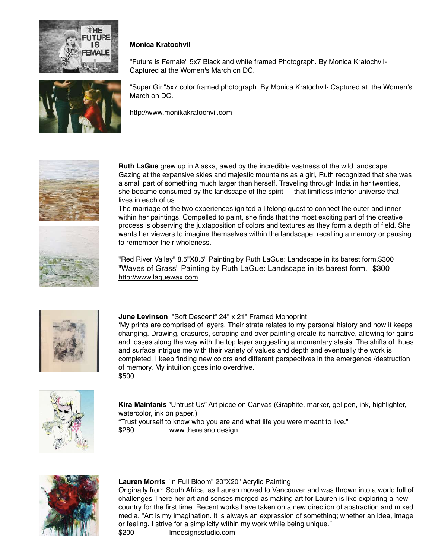



# **Monica Kratochvil**

"Future is Female" 5x7 Black and white framed Photograph. By Monica Kratochvil-Captured at the Women's March on DC.

"Super Girl"5x7 color framed photograph. By Monica Kratochvil- Captured at the Women's March on DC.

<http://www.monikakratochvil.com>



**Ruth LaGue** grew up in Alaska, awed by the incredible vastness of the wild landscape. Gazing at the expansive skies and majestic mountains as a girl, Ruth recognized that she was a small part of something much larger than herself. Traveling through India in her twenties, she became consumed by the landscape of the spirit — that limitless interior universe that lives in each of us.

The marriage of the two experiences ignited a lifelong quest to connect the outer and inner within her paintings. Compelled to paint, she finds that the most exciting part of the creative process is observing the juxtaposition of colors and textures as they form a depth of field. She wants her viewers to imagine themselves within the landscape, recalling a memory or pausing to remember their wholeness.

"Red River Valley" 8.5"X8.5" Painting by Ruth LaGue: Landscape in its barest form.\$300 "Waves of Grass" Painting by Ruth LaGue: Landscape in its barest form. \$300 http://www.laguewax.com



# **June Levinson** "Soft Descent" 24" x 21" Framed Monoprint

'My prints are comprised of layers. Their strata relates to my personal history and how it keeps changing. Drawing, erasures, scraping and over painting create its narrative, allowing for gains and losses along the way with the top layer suggesting a momentary stasis. The shifts of hues and surface intrigue me with their variety of values and depth and eventually the work is completed. I keep finding new colors and different perspectives in the emergence /destruction of memory. My intuition goes into overdrive.' \$500



**Kira Maintanis** "Untrust Us" Art piece on Canvas (Graphite, marker, gel pen, ink, highlighter, watercolor, ink on paper.)

"Trust yourself to know who you are and what life you were meant to live." \$280 [www.thereisno.design](http://www.thereisno.design)



#### **Lauren Morris** "In Full Bloom" 20"X20" Acrylic Painting

Originally from South Africa, as Lauren moved to Vancouver and was thrown into a world full of challenges There her art and senses merged as making art for Lauren is like exploring a new country for the first time. Recent works have taken on a new direction of abstraction and mixed media. "Art is my imagination. It is always an expression of something; whether an idea, image or feeling. I strive for a simplicity within my work while being unique." \$200 [lmdesignsstudio.com](http://lmdesignsstudio.com)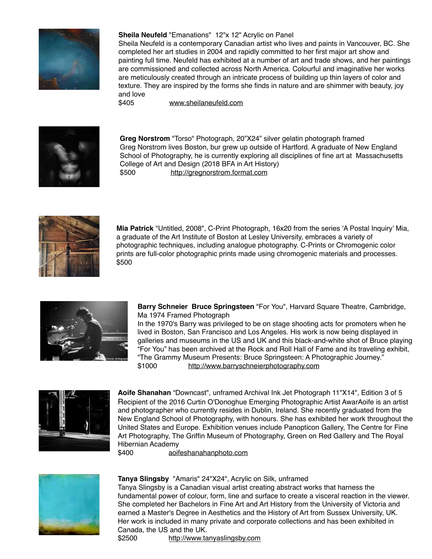

# **Sheila Neufeld** "Emanations" 12"x 12" Acrylic on Panel

Sheila Neufeld is a contemporary Canadian artist who lives and paints in Vancouver, BC. She completed her art studies in 2004 and rapidly committed to her first major art show and painting full time. Neufeld has exhibited at a number of art and trade shows, and her paintings are commissioned and collected across North America. Colourful and imaginative her works are meticulously created through an intricate process of building up thin layers of color and texture. They are inspired by the forms she finds in nature and are shimmer with beauty, joy and love

\$405 [www.sheilaneufeld.com](http://www.sheilaneufeld.com)



**Greg Norstrom** "Torso" Photograph, 20"X24" silver gelatin photograph framed Greg Norstrom lives Boston, bur grew up outside of Hartford. A graduate of New England School of Photography, he is currently exploring all disciplines of fine art at Massachusetts College of Art and Design (2018 BFA in Art History) \$500 <http://gregnorstrom.format.com>



**Mia Patrick** "Untitled, 2008", C-Print Photograph, 16x20 from the series 'A Postal Inquiry' Mia, a graduate of the Art Institute of Boston at Lesley University, embraces a variety of photographic techniques, including analogue photography. C-Prints or Chromogenic color prints are full-color photographic prints made using chromogenic materials and processes. \$500



**Barry Schneier Bruce Springsteen** "For You", Harvard Square Theatre, Cambridge, Ma 1974 Framed Photograph

In the 1970's Barry was privileged to be on stage shooting acts for promoters when he lived in Boston, San Francisco and Los Angeles. His work is now being displayed in galleries and museums in the US and UK and this black-and-white shot of Bruce playing "For You" has been archived at the Rock and Roll Hall of Fame and its traveling exhibit, "The Grammy Museum Presents: Bruce Springsteen: A Photographic Journey." \$1000 <http://www.barryschneierphotography.com>



**Aoife Shanahan** "Downcast", unframed Archival Ink Jet Photograph 11"X14", Edition 3 of 5 Recipient of the 2016 Curtin O'Donoghue Emerging Photographic Artist AwarAoife is an artist and photographer who currently resides in Dublin, Ireland. She recently graduated from the New England School of Photography, with honours. She has exhibited her work throughout the United States and Europe. Exhibition venues include Panopticon Gallery, The Centre for Fine Art Photography, The Griffin Museum of Photography, Green on Red Gallery and The Royal Hibernian Academy

\$400 [aoifeshanahanphoto.com](http://aoifeshanahanphoto.com)



#### **Tanya Slingsby** "Amaris" 24"X24", Acrylic on Silk, unframed

Tanya Slingsby is a Canadian visual artist creating abstract works that harness the fundamental power of colour, form, line and surface to create a visceral reaction in the viewer. She completed her Bachelors in Fine Art and Art History from the University of Victoria and earned a Master's Degree in Aesthetics and the History of Art from Sussex University, UK. Her work is included in many private and corporate collections and has been exhibited in Canada, the US and the UK.

\$2500 <http://www.tanyaslingsby.com>